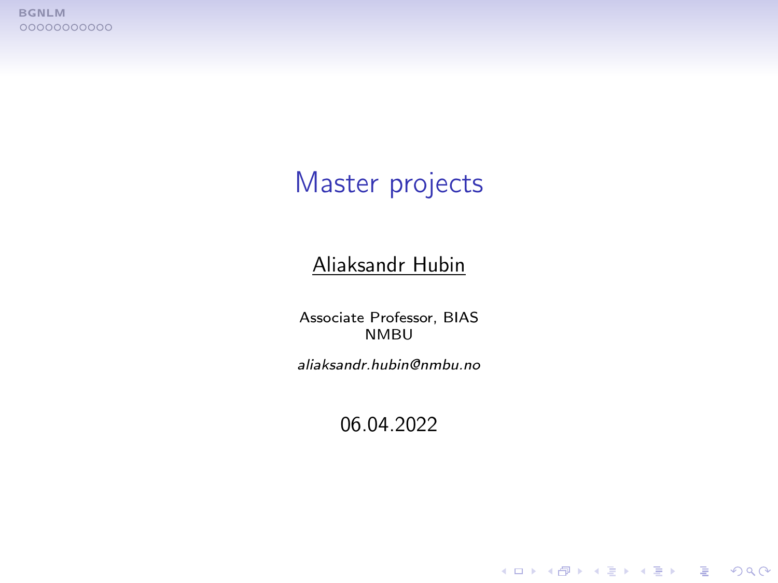<span id="page-0-0"></span>**[BGNLM](#page-1-0)**<br>00000000000

# Master projects

#### Aliaksandr Hubin

Associate Professor, BIAS NMBU

aliaksandr.hubin@nmbu.no

06.04.2022

K ロ ▶ K 個 ▶ K 할 > K 할 > 1 할 > 1 이익어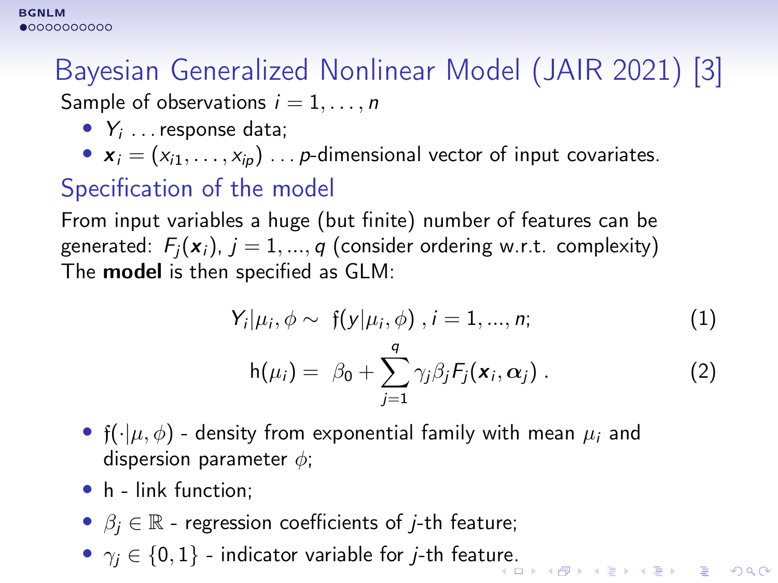# <span id="page-1-0"></span>Bayesian Generalized Nonlinear Model (JAIR 2021) [3]

Sample of observations  $i = 1, \ldots, n$ 

- $Y_i$  ... response data;
- $\mathbf{x}_i = (x_{i1}, \ldots, x_{ip}) \ldots p$ -dimensional vector of input covariates.

### Specification of the model

From input variables a huge (but finite) number of features can be generated:  $F_i(\mathbf{x}_i)$ ,  $i = 1, ..., q$  (consider ordering w.r.t. complexity) The model is then specified as GLM:

$$
Y_i|\mu_i, \phi \sim f(y|\mu_i, \phi), i = 1, ..., n; \tag{1}
$$

$$
h(\mu_i) = \beta_0 + \sum_{j=1}^q \gamma_j \beta_j F_j(\mathbf{x}_i, \alpha_j).
$$
 (2)

- f( $\cdot|\mu, \phi$ ) density from exponential family with mean  $\mu_i$  and dispersion parameter  $\phi$ ;
- h link function;
- $\beta_i \in \mathbb{R}$  regression coefficients of *j*-th feature;
- $\gamma_j \in \{0,1\}$  indicator variable for *j*-th feat[ure](#page-0-0).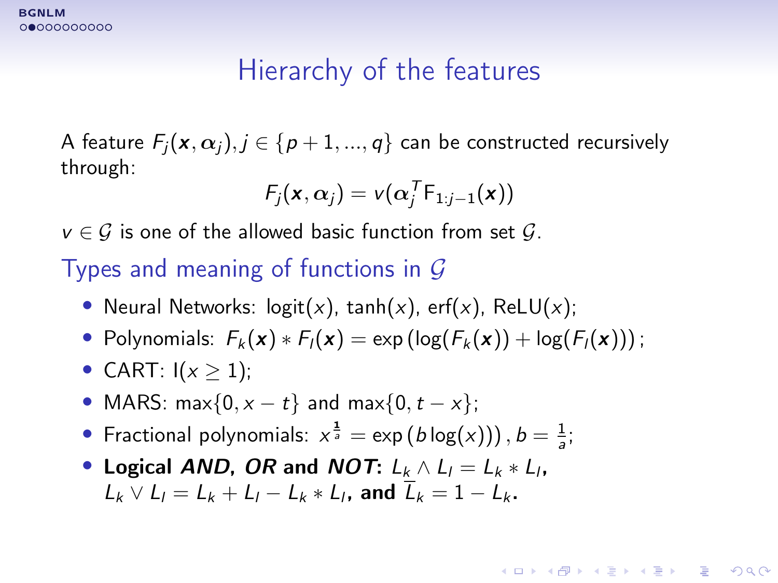# Hierarchy of the features

A feature  $F_i(\mathbf{x}, \alpha_i), j \in \{p+1, ..., q\}$  can be constructed recursively through:

$$
F_j(\mathbf{x}, \alpha_j) = v(\alpha_j^T F_{1:j-1}(\mathbf{x}))
$$

 $v \in \mathcal{G}$  is one of the allowed basic function from set  $\mathcal{G}$ .

#### Types and meaning of functions in  $G$

- Neural Networks:  $logit(x)$ ,  $tanh(x)$ , erf(x), ReLU(x);
- Polynomials:  $F_k(\mathbf{x}) * F_l(\mathbf{x}) = \exp(\log(F_k(\mathbf{x})) + \log(F_l(\mathbf{x})))$ ;

**KORKA BRADE KORA** 

- CART:  $I(x > 1)$ ;
- MARS: max $\{0, x t\}$  and max $\{0, t x\}$ ;
- Fractional polynomials:  $x^{\frac{1}{a}} = \exp(b \log(x))$ ,  $b = \frac{1}{a}$ ;
- Logical AND, OR and NOT:  $L_k \wedge L_l = L_k * L_l$ ,  $L_k \vee L_l = L_k + L_l - L_k * L_l$ , and  $\overline{L}_k = 1 - L_k$ .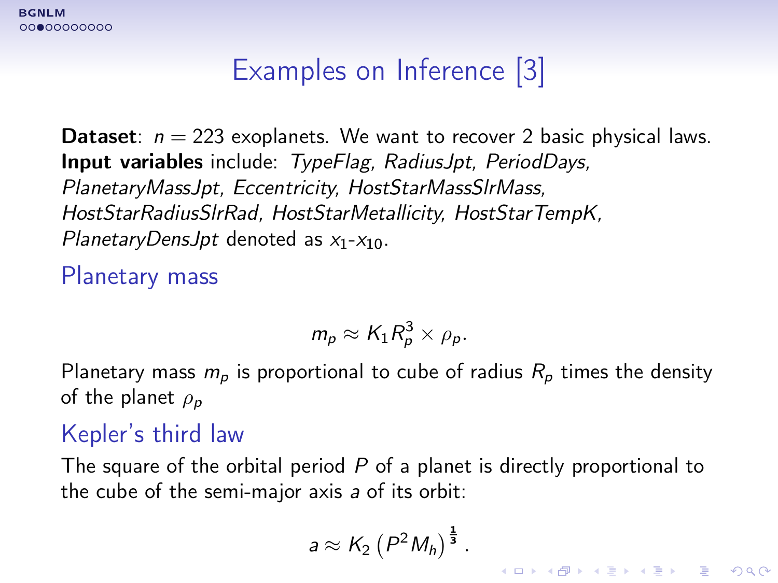# Examples on Inference [3]

**Dataset:**  $n = 223$  exoplanets. We want to recover 2 basic physical laws. Input variables include: TypeFlag, RadiusJpt, PeriodDays, PlanetaryMassJpt, Eccentricity, HostStarMassSlrMass, HostStarRadiusSlrRad, HostStarMetallicity, HostStarTempK, PlanetaryDensJpt denoted as  $x_1-x_{10}$ .

Planetary mass

$$
m_p \approx K_1 R_p^3 \times \rho_p.
$$

Planetary mass  $m_p$  is proportional to cube of radius  $R_p$  times the density of the planet  $\rho_p$ 

#### Kepler's third law

The square of the orbital period  $P$  of a planet is directly proportional to the cube of the semi-major axis a of its orbit:

$$
a \approx K_2 \left( P^2 M_h \right)^{\frac{1}{3}}.
$$

**KORKA SERKER ORA**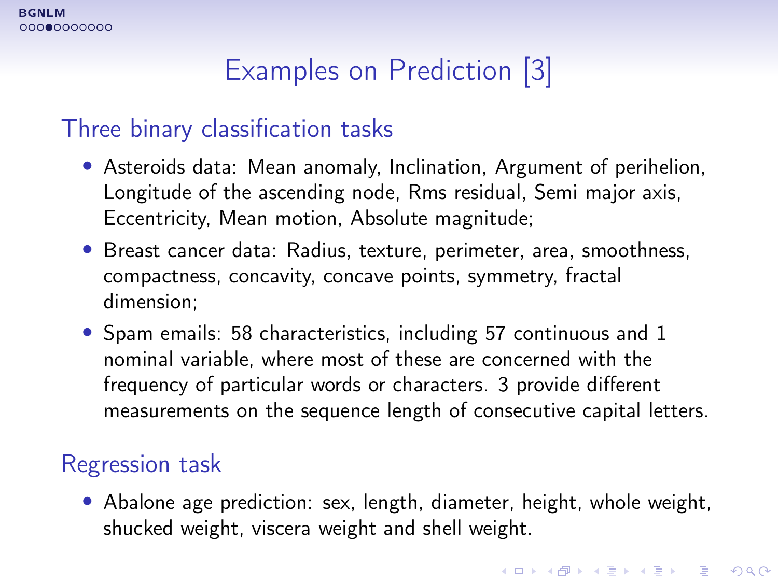# Examples on Prediction [3]

#### Three binary classification tasks

- Asteroids data: Mean anomaly, Inclination, Argument of perihelion, Longitude of the ascending node, Rms residual, Semi major axis, Eccentricity, Mean motion, Absolute magnitude;
- Breast cancer data: Radius, texture, perimeter, area, smoothness, compactness, concavity, concave points, symmetry, fractal dimension;
- Spam emails: 58 characteristics, including 57 continuous and 1 nominal variable, where most of these are concerned with the frequency of particular words or characters. 3 provide different measurements on the sequence length of consecutive capital letters.

#### Regression task

• Abalone age prediction: sex, length, diameter, height, whole weight, shucked weight, viscera weight and shell weight.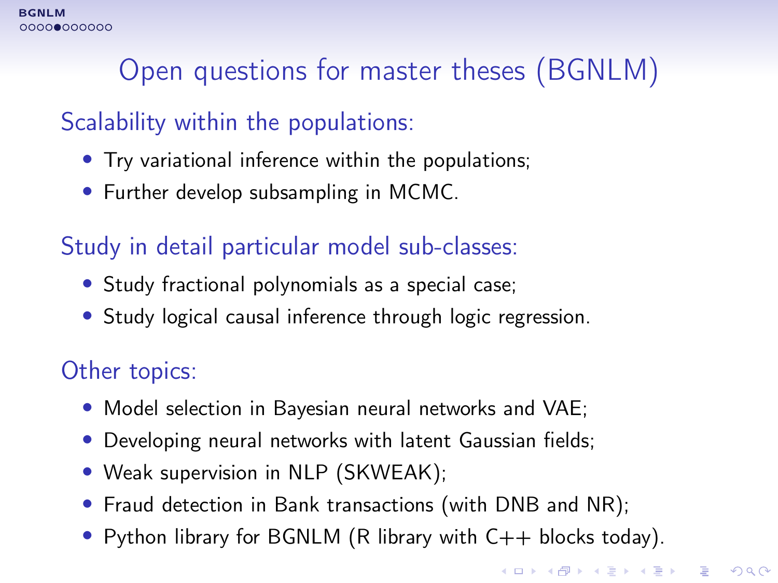# Open questions for master theses (BGNLM)

#### Scalability within the populations:

- Try variational inference within the populations;
- Further develop subsampling in MCMC.

#### Study in detail particular model sub-classes:

- Study fractional polynomials as a special case;
- Study logical causal inference through logic regression.

#### Other topics:

- Model selection in Bayesian neural networks and VAE;
- Developing neural networks with latent Gaussian fields;
- Weak supervision in NLP (SKWEAK);
- Fraud detection in Bank transactions (with DNB and NR);
- Python library for BGNLM (R library with  $C++$  blocks today).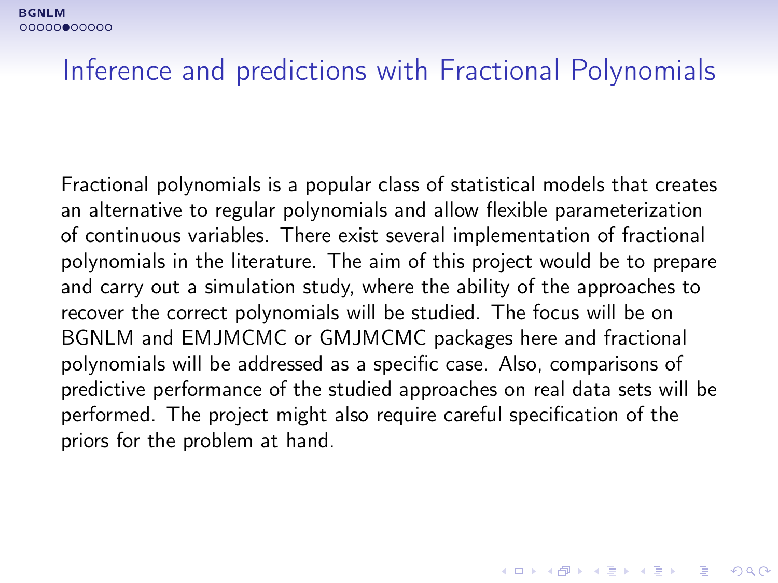# Inference and predictions with Fractional Polynomials

Fractional polynomials is a popular class of statistical models that creates an alternative to regular polynomials and allow flexible parameterization of continuous variables. There exist several implementation of fractional polynomials in the literature. The aim of this project would be to prepare and carry out a simulation study, where the ability of the approaches to recover the correct polynomials will be studied. The focus will be on BGNLM and EMJMCMC or GMJMCMC packages here and fractional polynomials will be addressed as a specific case. Also, comparisons of predictive performance of the studied approaches on real data sets will be performed. The project might also require careful specification of the priors for the problem at hand.

4 0 > 4 4 + 4 = > 4 = > = + + 0 4 0 +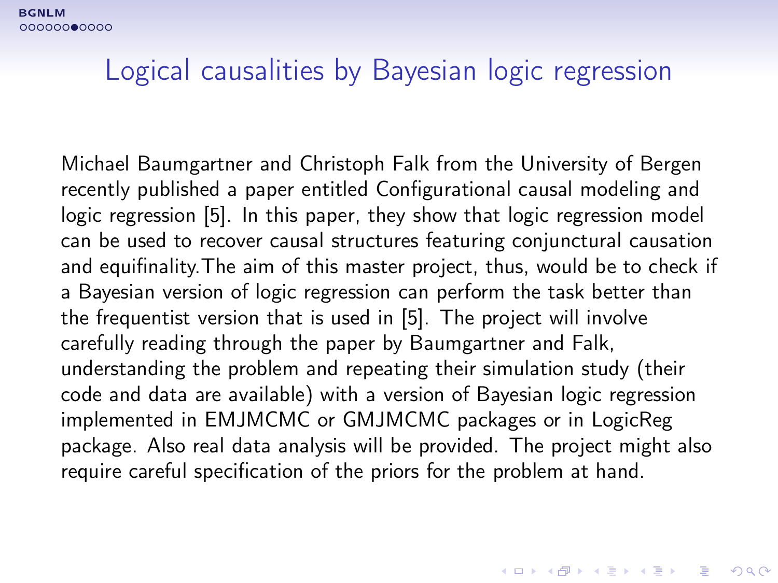[BGNLM](#page-1-0) 00000000000

#### Logical causalities by Bayesian logic regression

Michael Baumgartner and Christoph Falk from the University of Bergen recently published a paper entitled Configurational causal modeling and logic regression [5]. In this paper, they show that logic regression model can be used to recover causal structures featuring conjunctural causation and equifinality.The aim of this master project, thus, would be to check if a Bayesian version of logic regression can perform the task better than the frequentist version that is used in [5]. The project will involve carefully reading through the paper by Baumgartner and Falk, understanding the problem and repeating their simulation study (their code and data are available) with a version of Bayesian logic regression implemented in EMJMCMC or GMJMCMC packages or in LogicReg package. Also real data analysis will be provided. The project might also require careful specification of the priors for the problem at hand.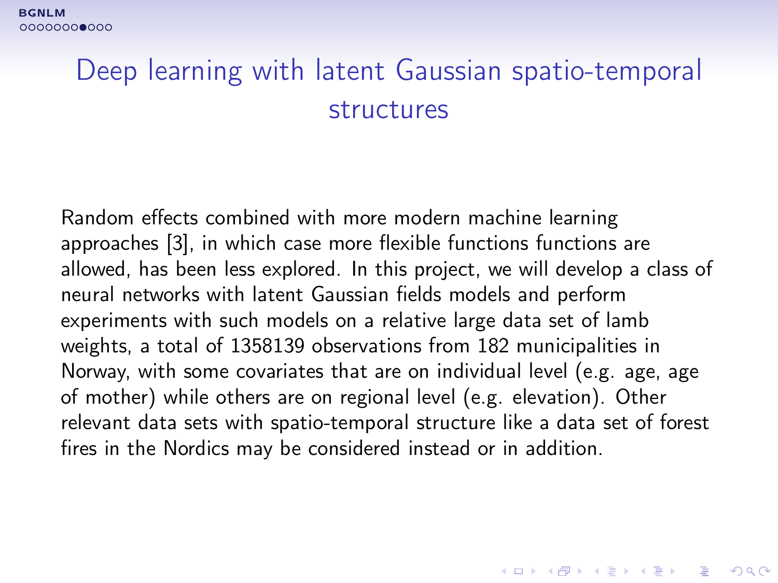# Deep learning with latent Gaussian spatio-temporal structures

Random effects combined with more modern machine learning approaches [3], in which case more flexible functions functions are allowed, has been less explored. In this project, we will develop a class of neural networks with latent Gaussian fields models and perform experiments with such models on a relative large data set of lamb weights, a total of 1358139 observations from 182 municipalities in Norway, with some covariates that are on individual level (e.g. age, age of mother) while others are on regional level (e.g. elevation). Other relevant data sets with spatio-temporal structure like a data set of forest fires in the Nordics may be considered instead or in addition.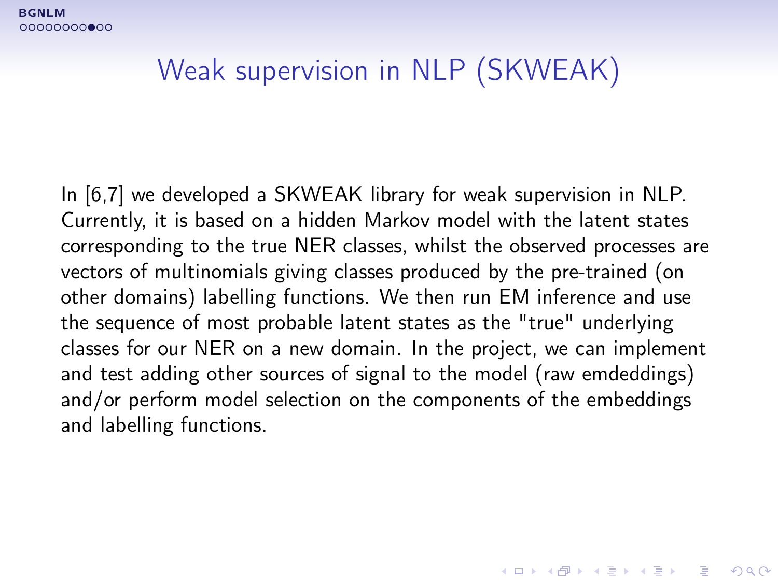# Weak supervision in NLP (SKWEAK)

In [6,7] we developed a SKWEAK library for weak supervision in NLP. Currently, it is based on a hidden Markov model with the latent states corresponding to the true NER classes, whilst the observed processes are vectors of multinomials giving classes produced by the pre-trained (on other domains) labelling functions. We then run EM inference and use the sequence of most probable latent states as the "true" underlying classes for our NER on a new domain. In the project, we can implement and test adding other sources of signal to the model (raw emdeddings) and/or perform model selection on the components of the embeddings and labelling functions.

4 0 > 4 4 + 4 = > 4 = > = + + 0 4 0 +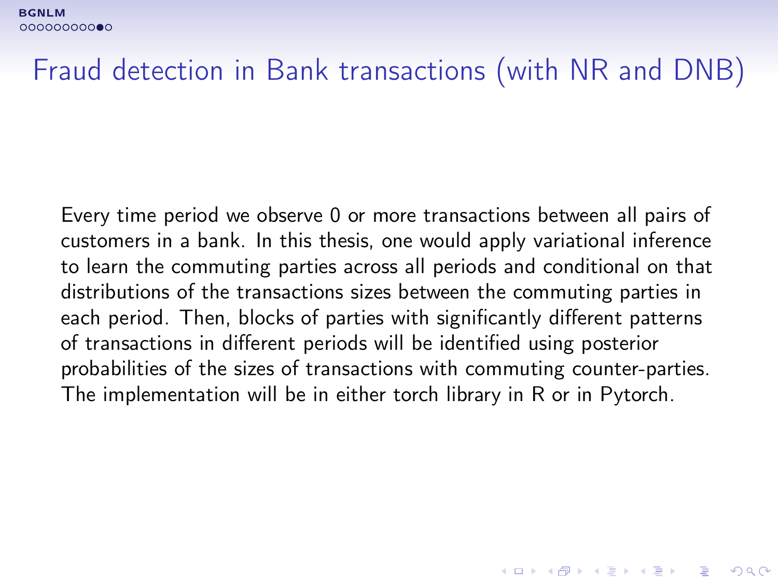# Fraud detection in Bank transactions (with NR and DNB)

Every time period we observe 0 or more transactions between all pairs of customers in a bank. In this thesis, one would apply variational inference to learn the commuting parties across all periods and conditional on that distributions of the transactions sizes between the commuting parties in each period. Then, blocks of parties with significantly different patterns of transactions in different periods will be identified using posterior probabilities of the sizes of transactions with commuting counter-parties. The implementation will be in either torch library in R or in Pytorch.

**K ロ ▶ K 個 ▶ K 할 ▶ K 할 ▶ 이 할 수 있어요**